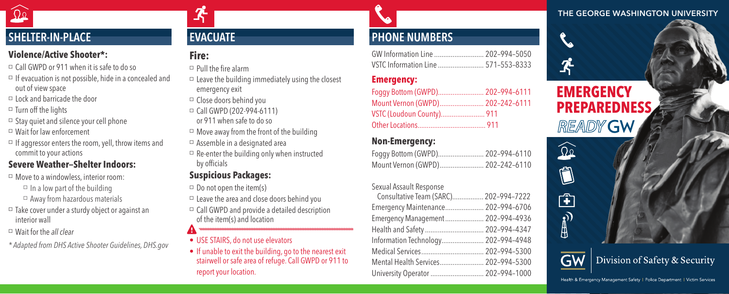#### THE GEORGE WASHINGTON UNIVERSITY

# SHELTER-IN-PLACE

#### **Violence/Active Shooter\*:**

- Call GWPD or 911 when it is safe to do so
- $\Box$  If evacuation is not possible, hide in a concealed and out of view space
- $\Box$  Lock and barricade the door
- $\Box$  Turn off the lights
- $\Box$  Stay quiet and silence your cell phone
- Wait for law enforcement
- $\Box$  If aggressor enters the room, yell, throw items and commit to your actions

### **Severe Weather—Shelter Indoors:**

- Move to a windowless, interior room:  $\Box$  In a low part of the building
	- $\Box$  Away from hazardous materials
- $\Box$  Take cover under a sturdy object or against an interior wall
- Wait for the *all clear*
- *\* Adapted from DHS Active Shooter Guidelines, DHS.gov*

## EVACUATE

#### **Fire:**

-S

- $\Box$  Pull the fire alarm
- $\square$  Leave the building immediately using the closest emergency exit
- Close doors behind you
- Call GWPD (202-994-6111) or 911 when safe to do so
- $\Box$  Move away from the front of the building
- $\Box$  Assemble in a designated area
- $\Box$  Re-enter the building only when instructed by officials

## **Suspicious Packages:**

- $\Box$  Do not open the item(s)
- $\Box$  Leave the area and close doors behind you
- $\Box$  Call GWPD and provide a detailed description of the item(s) and location
- USE STAIRS, do not use elevators
- If unable to exit the building, go to the nearest exit stairwell or safe area of refuge. Call GWPD or 911 to report your location.

# PHONE NUMBERS

| GW Information Line  202-994-5050   |  |
|-------------------------------------|--|
| VSTC Information Line  571-553-8333 |  |

### **Emergency:**

| Foqqy Bottom (GWPD) 202-994-6111 |  |
|----------------------------------|--|
| Mount Vernon (GWPD) 202-242-6111 |  |
| VSTC (Loudoun County) 911        |  |
|                                  |  |

### **Non-Emergency:**

| Foggy Bottom (GWPD) 202-994-6110 |  |
|----------------------------------|--|
| Mount Vernon (GWPD) 202-242-6110 |  |

#### Sexual Assault Response

| Consultative Team (SARC) 202-994-7222 |  |
|---------------------------------------|--|
| Emergency Maintenance 202-994-6706    |  |
| Emergency Management  202-994-4936    |  |
| Health and Safety  202-994-4347       |  |
| Information Technology 202-994-4948   |  |
|                                       |  |
| Mental Health Services 202-994-5300   |  |
| University Operator  202-994-1000     |  |
|                                       |  |





 $\qquad \qquad \blacksquare$ 

由  $\bigoplus_{i=1}^{\infty}$ 

# Division of Safety & Security

Health & Emergency Management Safety | Police Department | Victim Services